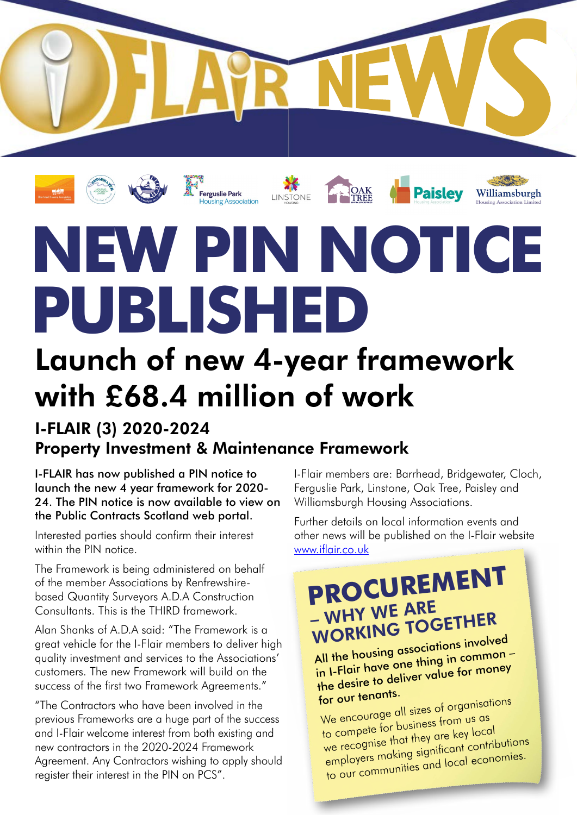

# **NEW PIN NOTICE PUBLISHED**

sile Park<br>ng Association

## Launch of new 4-year framework with £68.4 million of work

#### I-FLAIR (3) 2020-2024 Property Investment & Maintenance Framework

I-FLAIR has now published a PIN notice to launch the new 4 year framework for 2020- 24. The PIN notice is now available to view on the Public Contracts Scotland web portal.

Interested parties should confirm their interest within the PIN notice

The Framework is being administered on behalf of the member Associations by Renfrewshirebased Quantity Surveyors A.D.A Construction Consultants. This is the THIRD framework.

Alan Shanks of A.D.A said: "The Framework is a great vehicle for the I-Flair members to deliver high quality investment and services to the Associations' customers. The new Framework will build on the success of the first two Framework Agreements."

"The Contractors who have been involved in the previous Frameworks are a huge part of the success and I-Flair welcome interest from both existing and new contractors in the 2020-2024 Framework Agreement. Any Contractors wishing to apply should register their interest in the PIN on PCS".

I-Flair members are: Barrhead, Bridgewater, Cloch, Ferguslie Park, Linstone, Oak Tree, Paisley and Williamsburgh Housing Associations.

Further details on local information events and other news will be published on the I-Flair website [www.iflair.co.uk](http://www.iflair.co.uk)

### **PROCUREMENT**  – WHY WE ARE WORKING TOGETHER

All the housing associations involved in I-Flair have one thing in common – the desire to deliver value for money for our tenants.

We encourage all sizes of organisations to compete for business from us as we recognise that they are key local employers making significant contributions to our communities and local economies.